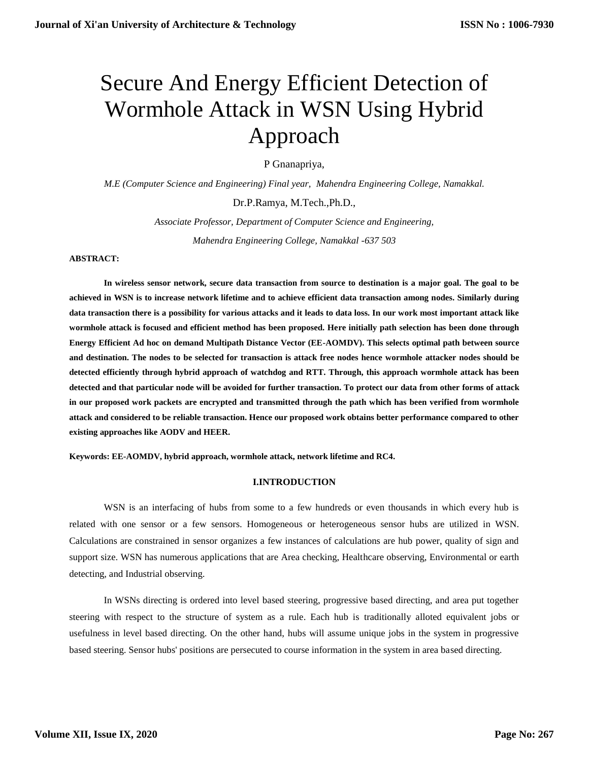# Secure And Energy Efficient Detection of Wormhole Attack in WSN Using Hybrid Approach

P Gnanapriya,

*M.E (Computer Science and Engineering) Final year, Mahendra Engineering College, Namakkal.*

Dr.P.Ramya, M.Tech.,Ph.D.,

*Associate Professor, Department of Computer Science and Engineering, Mahendra Engineering College, Namakkal -637 503*

**ABSTRACT:**

**In wireless sensor network, secure data transaction from source to destination is a major goal. The goal to be achieved in WSN is to increase network lifetime and to achieve efficient data transaction among nodes. Similarly during data transaction there is a possibility for various attacks and it leads to data loss. In our work most important attack like wormhole attack is focused and efficient method has been proposed. Here initially path selection has been done through Energy Efficient Ad hoc on demand Multipath Distance Vector (EE-AOMDV). This selects optimal path between source and destination. The nodes to be selected for transaction is attack free nodes hence wormhole attacker nodes should be detected efficiently through hybrid approach of watchdog and RTT. Through, this approach wormhole attack has been detected and that particular node will be avoided for further transaction. To protect our data from other forms of attack in our proposed work packets are encrypted and transmitted through the path which has been verified from wormhole attack and considered to be reliable transaction. Hence our proposed work obtains better performance compared to other existing approaches like AODV and HEER.** 

**Keywords: EE-AOMDV, hybrid approach, wormhole attack, network lifetime and RC4.**

## **I.INTRODUCTION**

WSN is an interfacing of hubs from some to a few hundreds or even thousands in which every hub is related with one sensor or a few sensors. Homogeneous or heterogeneous sensor hubs are utilized in WSN. Calculations are constrained in sensor organizes a few instances of calculations are hub power, quality of sign and support size. WSN has numerous applications that are Area checking, Healthcare observing, Environmental or earth detecting, and Industrial observing.

In WSNs directing is ordered into level based steering, progressive based directing, and area put together steering with respect to the structure of system as a rule. Each hub is traditionally alloted equivalent jobs or usefulness in level based directing. On the other hand, hubs will assume unique jobs in the system in progressive based steering. Sensor hubs' positions are persecuted to course information in the system in area based directing.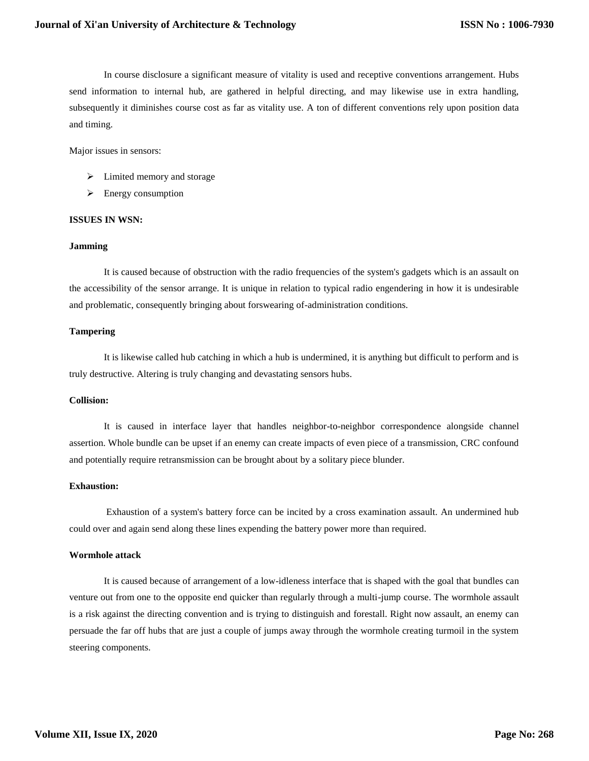In course disclosure a significant measure of vitality is used and receptive conventions arrangement. Hubs send information to internal hub, are gathered in helpful directing, and may likewise use in extra handling, subsequently it diminishes course cost as far as vitality use. A ton of different conventions rely upon position data and timing.

Major issues in sensors:

- $\triangleright$  Limited memory and storage
- $\triangleright$  Energy consumption

#### **ISSUES IN WSN:**

#### **Jamming**

It is caused because of obstruction with the radio frequencies of the system's gadgets which is an assault on the accessibility of the sensor arrange. It is unique in relation to typical radio engendering in how it is undesirable and problematic, consequently bringing about forswearing of-administration conditions.

#### **Tampering**

It is likewise called hub catching in which a hub is undermined, it is anything but difficult to perform and is truly destructive. Altering is truly changing and devastating sensors hubs.

#### **Collision:**

It is caused in interface layer that handles neighbor-to-neighbor correspondence alongside channel assertion. Whole bundle can be upset if an enemy can create impacts of even piece of a transmission, CRC confound and potentially require retransmission can be brought about by a solitary piece blunder.

# **Exhaustion:**

Exhaustion of a system's battery force can be incited by a cross examination assault. An undermined hub could over and again send along these lines expending the battery power more than required.

## **Wormhole attack**

It is caused because of arrangement of a low-idleness interface that is shaped with the goal that bundles can venture out from one to the opposite end quicker than regularly through a multi-jump course. The wormhole assault is a risk against the directing convention and is trying to distinguish and forestall. Right now assault, an enemy can persuade the far off hubs that are just a couple of jumps away through the wormhole creating turmoil in the system steering components.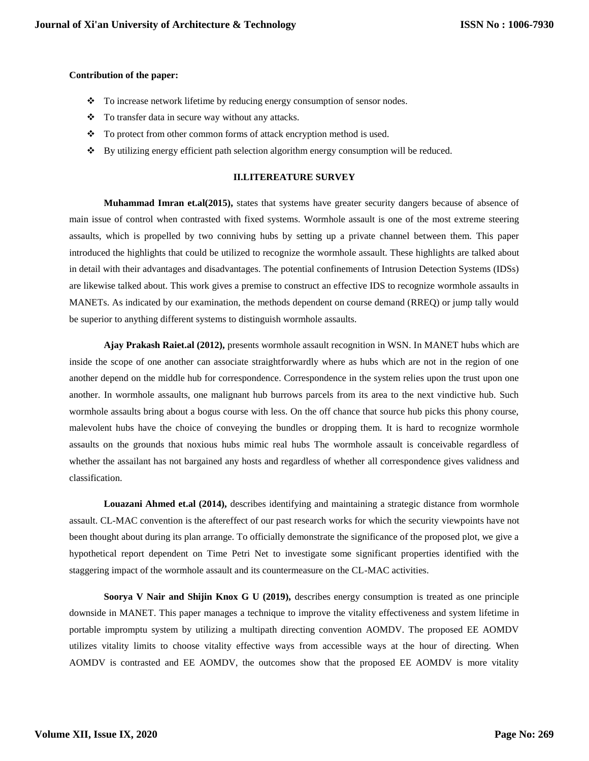## **Contribution of the paper:**

- \* To increase network lifetime by reducing energy consumption of sensor nodes.
- To transfer data in secure way without any attacks.
- \* To protect from other common forms of attack encryption method is used.
- By utilizing energy efficient path selection algorithm energy consumption will be reduced.

#### **II.LITEREATURE SURVEY**

**Muhammad Imran et.al(2015),** states that systems have greater security dangers because of absence of main issue of control when contrasted with fixed systems. Wormhole assault is one of the most extreme steering assaults, which is propelled by two conniving hubs by setting up a private channel between them. This paper introduced the highlights that could be utilized to recognize the wormhole assault. These highlights are talked about in detail with their advantages and disadvantages. The potential confinements of Intrusion Detection Systems (IDSs) are likewise talked about. This work gives a premise to construct an effective IDS to recognize wormhole assaults in MANETs. As indicated by our examination, the methods dependent on course demand (RREQ) or jump tally would be superior to anything different systems to distinguish wormhole assaults.

**Ajay Prakash Raiet.al (2012),** presents wormhole assault recognition in WSN. In MANET hubs which are inside the scope of one another can associate straightforwardly where as hubs which are not in the region of one another depend on the middle hub for correspondence. Correspondence in the system relies upon the trust upon one another. In wormhole assaults, one malignant hub burrows parcels from its area to the next vindictive hub. Such wormhole assaults bring about a bogus course with less. On the off chance that source hub picks this phony course, malevolent hubs have the choice of conveying the bundles or dropping them. It is hard to recognize wormhole assaults on the grounds that noxious hubs mimic real hubs The wormhole assault is conceivable regardless of whether the assailant has not bargained any hosts and regardless of whether all correspondence gives validness and classification.

**Louazani Ahmed et.al (2014),** describes identifying and maintaining a strategic distance from wormhole assault. CL-MAC convention is the aftereffect of our past research works for which the security viewpoints have not been thought about during its plan arrange. To officially demonstrate the significance of the proposed plot, we give a hypothetical report dependent on Time Petri Net to investigate some significant properties identified with the staggering impact of the wormhole assault and its countermeasure on the CL-MAC activities.

**Soorya V Nair and Shijin Knox G U (2019),** describes energy consumption is treated as one principle downside in MANET. This paper manages a technique to improve the vitality effectiveness and system lifetime in portable impromptu system by utilizing a multipath directing convention AOMDV. The proposed EE AOMDV utilizes vitality limits to choose vitality effective ways from accessible ways at the hour of directing. When AOMDV is contrasted and EE AOMDV, the outcomes show that the proposed EE AOMDV is more vitality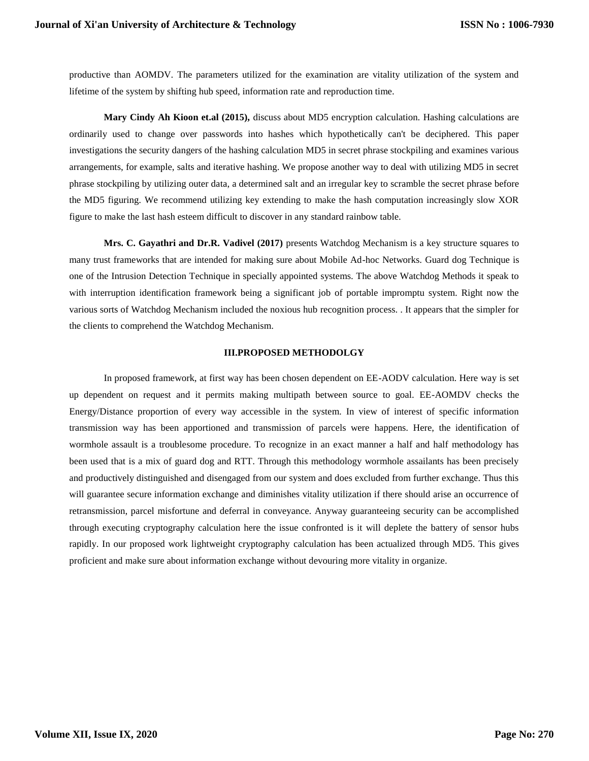productive than AOMDV. The parameters utilized for the examination are vitality utilization of the system and lifetime of the system by shifting hub speed, information rate and reproduction time.

**Mary Cindy Ah Kioon et.al (2015),** discuss about MD5 encryption calculation. Hashing calculations are ordinarily used to change over passwords into hashes which hypothetically can't be deciphered. This paper investigations the security dangers of the hashing calculation MD5 in secret phrase stockpiling and examines various arrangements, for example, salts and iterative hashing. We propose another way to deal with utilizing MD5 in secret phrase stockpiling by utilizing outer data, a determined salt and an irregular key to scramble the secret phrase before the MD5 figuring. We recommend utilizing key extending to make the hash computation increasingly slow XOR figure to make the last hash esteem difficult to discover in any standard rainbow table.

**Mrs. C. Gayathri and Dr.R. Vadivel (2017)** presents Watchdog Mechanism is a key structure squares to many trust frameworks that are intended for making sure about Mobile Ad-hoc Networks. Guard dog Technique is one of the Intrusion Detection Technique in specially appointed systems. The above Watchdog Methods it speak to with interruption identification framework being a significant job of portable impromptu system. Right now the various sorts of Watchdog Mechanism included the noxious hub recognition process. . It appears that the simpler for the clients to comprehend the Watchdog Mechanism.

# **III.PROPOSED METHODOLGY**

In proposed framework, at first way has been chosen dependent on EE-AODV calculation. Here way is set up dependent on request and it permits making multipath between source to goal. EE-AOMDV checks the Energy/Distance proportion of every way accessible in the system. In view of interest of specific information transmission way has been apportioned and transmission of parcels were happens. Here, the identification of wormhole assault is a troublesome procedure. To recognize in an exact manner a half and half methodology has been used that is a mix of guard dog and RTT. Through this methodology wormhole assailants has been precisely and productively distinguished and disengaged from our system and does excluded from further exchange. Thus this will guarantee secure information exchange and diminishes vitality utilization if there should arise an occurrence of retransmission, parcel misfortune and deferral in conveyance. Anyway guaranteeing security can be accomplished through executing cryptography calculation here the issue confronted is it will deplete the battery of sensor hubs rapidly. In our proposed work lightweight cryptography calculation has been actualized through MD5. This gives proficient and make sure about information exchange without devouring more vitality in organize.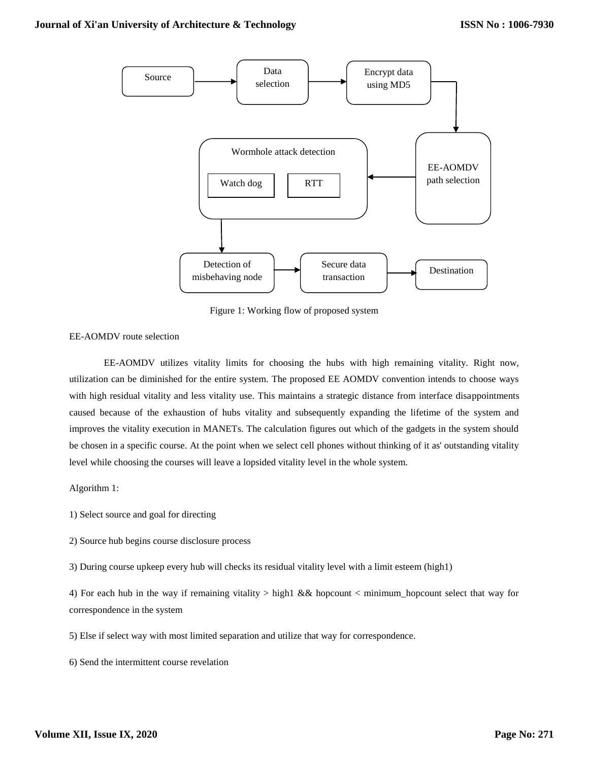

Figure 1: Working flow of proposed system

EE-AOMDV route selection

EE-AOMDV utilizes vitality limits for choosing the hubs with high remaining vitality. Right now, utilization can be diminished for the entire system. The proposed EE AOMDV convention intends to choose ways with high residual vitality and less vitality use. This maintains a strategic distance from interface disappointments caused because of the exhaustion of hubs vitality and subsequently expanding the lifetime of the system and improves the vitality execution in MANETs. The calculation figures out which of the gadgets in the system should be chosen in a specific course. At the point when we select cell phones without thinking of it as' outstanding vitality level while choosing the courses will leave a lopsided vitality level in the whole system.

Algorithm 1:

1) Select source and goal for directing

2) Source hub begins course disclosure process

3) During course upkeep every hub will checks its residual vitality level with a limit esteem (high1)

4) For each hub in the way if remaining vitality > high1 && hopcount < minimum\_hopcount select that way for correspondence in the system

5) Else if select way with most limited separation and utilize that way for correspondence.

6) Send the intermittent course revelation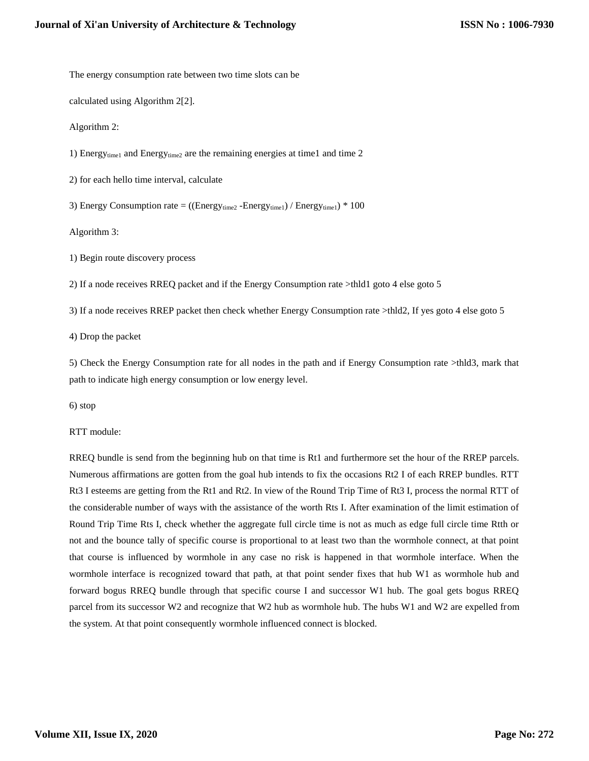The energy consumption rate between two time slots can be

calculated using Algorithm 2[2].

Algorithm 2:

1) Energytime1 and Energytime2 are the remaining energies at time1 and time 2

2) for each hello time interval, calculate

3) Energy Consumption rate =  $((Energy_{time2} - Energy_{time1}) / Energy_{time1}) * 100$ 

Algorithm 3:

1) Begin route discovery process

2) If a node receives RREQ packet and if the Energy Consumption rate >thld1 goto 4 else goto 5

3) If a node receives RREP packet then check whether Energy Consumption rate >thld2, If yes goto 4 else goto 5

4) Drop the packet

5) Check the Energy Consumption rate for all nodes in the path and if Energy Consumption rate >thld3, mark that path to indicate high energy consumption or low energy level.

6) stop

RTT module:

RREQ bundle is send from the beginning hub on that time is Rt1 and furthermore set the hour of the RREP parcels. Numerous affirmations are gotten from the goal hub intends to fix the occasions Rt2 I of each RREP bundles. RTT Rt3 I esteems are getting from the Rt1 and Rt2. In view of the Round Trip Time of Rt3 I, process the normal RTT of the considerable number of ways with the assistance of the worth Rts I. After examination of the limit estimation of Round Trip Time Rts I, check whether the aggregate full circle time is not as much as edge full circle time Rtth or not and the bounce tally of specific course is proportional to at least two than the wormhole connect, at that point that course is influenced by wormhole in any case no risk is happened in that wormhole interface. When the wormhole interface is recognized toward that path, at that point sender fixes that hub W1 as wormhole hub and forward bogus RREQ bundle through that specific course I and successor W1 hub. The goal gets bogus RREQ parcel from its successor W2 and recognize that W2 hub as wormhole hub. The hubs W1 and W2 are expelled from the system. At that point consequently wormhole influenced connect is blocked.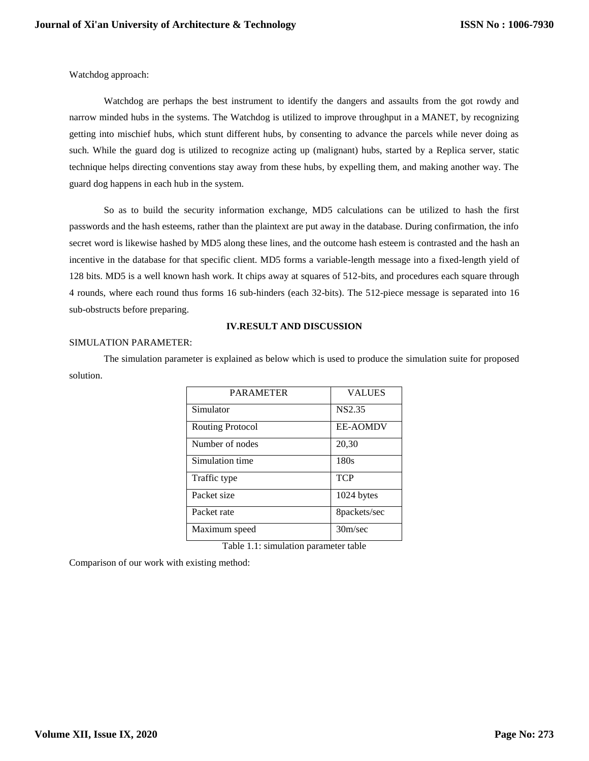Watchdog approach:

Watchdog are perhaps the best instrument to identify the dangers and assaults from the got rowdy and narrow minded hubs in the systems. The Watchdog is utilized to improve throughput in a MANET, by recognizing getting into mischief hubs, which stunt different hubs, by consenting to advance the parcels while never doing as such. While the guard dog is utilized to recognize acting up (malignant) hubs, started by a Replica server, static technique helps directing conventions stay away from these hubs, by expelling them, and making another way. The guard dog happens in each hub in the system.

So as to build the security information exchange, MD5 calculations can be utilized to hash the first passwords and the hash esteems, rather than the plaintext are put away in the database. During confirmation, the info secret word is likewise hashed by MD5 along these lines, and the outcome hash esteem is contrasted and the hash an incentive in the database for that specific client. MD5 forms a variable-length message into a fixed-length yield of 128 bits. MD5 is a well known hash work. It chips away at squares of 512-bits, and procedures each square through 4 rounds, where each round thus forms 16 sub-hinders (each 32-bits). The 512-piece message is separated into 16 sub-obstructs before preparing.

# **IV.RESULT AND DISCUSSION**

## SIMULATION PARAMETER:

The simulation parameter is explained as below which is used to produce the simulation suite for proposed solution.

| <b>PARAMETER</b> | <b>VALUES</b>   |
|------------------|-----------------|
| Simulator        | NS2.35          |
| Routing Protocol | <b>EE-AOMDV</b> |
| Number of nodes  | 20,30           |
| Simulation time  | 180s            |
| Traffic type     | <b>TCP</b>      |
| Packet size      | 1024 bytes      |
| Packet rate      | 8packets/sec    |
| Maximum speed    | 30m/sec         |

Table 1.1: simulation parameter table

Comparison of our work with existing method: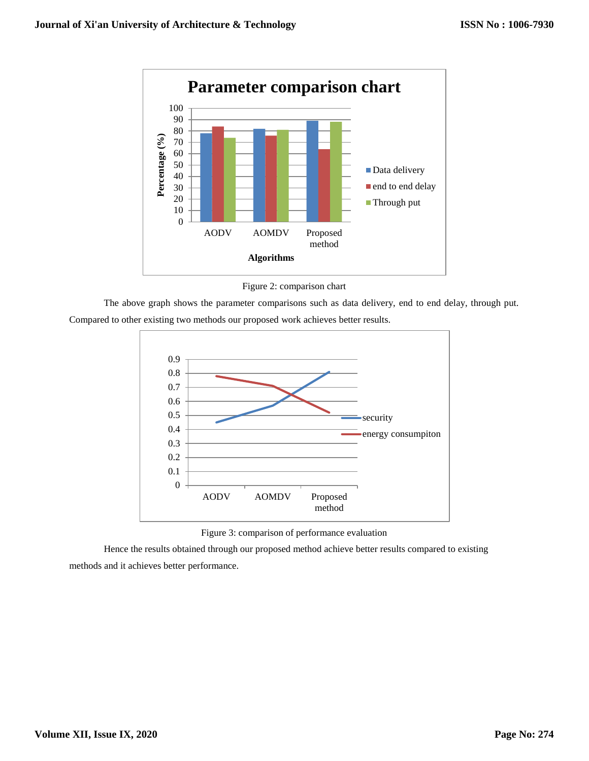

Figure 2: comparison chart

The above graph shows the parameter comparisons such as data delivery, end to end delay, through put. Compared to other existing two methods our proposed work achieves better results.



Figure 3: comparison of performance evaluation

Hence the results obtained through our proposed method achieve better results compared to existing methods and it achieves better performance.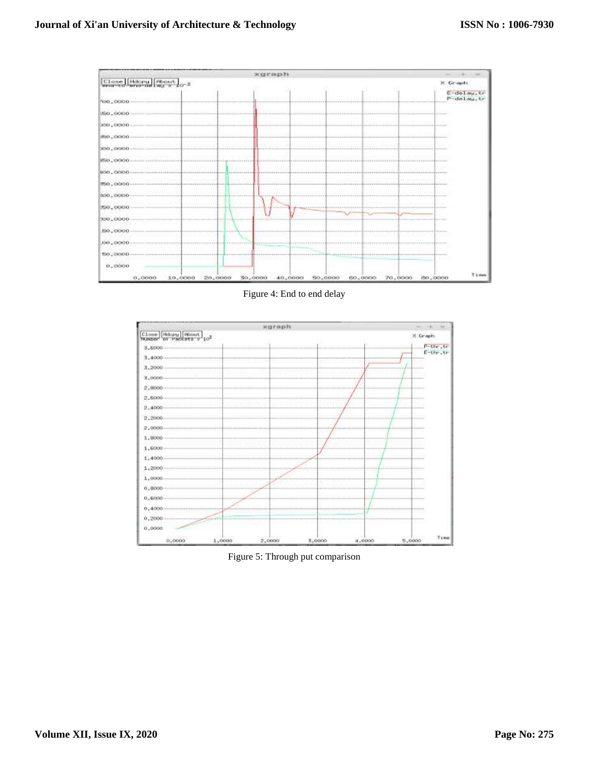

Figure 4: End to end delay



Figure 5: Through put comparison